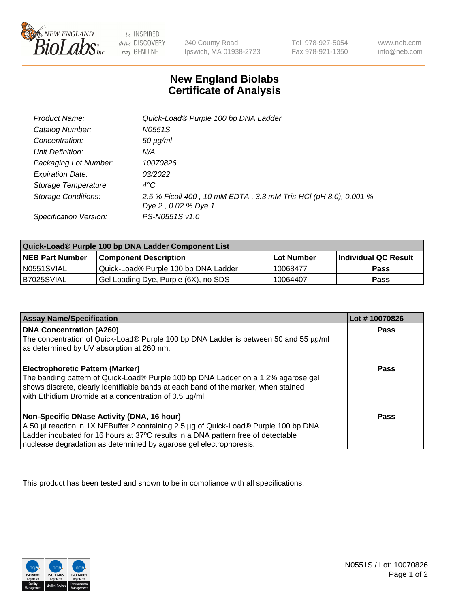

 $be$  INSPIRED drive DISCOVERY stay GENUINE

240 County Road Ipswich, MA 01938-2723 Tel 978-927-5054 Fax 978-921-1350

www.neb.com info@neb.com

## **New England Biolabs Certificate of Analysis**

| Product Name:              | Quick-Load® Purple 100 bp DNA Ladder                                                   |
|----------------------------|----------------------------------------------------------------------------------------|
| Catalog Number:            | N0551S                                                                                 |
| Concentration:             | $50 \mu g/ml$                                                                          |
| Unit Definition:           | N/A                                                                                    |
| Packaging Lot Number:      | 10070826                                                                               |
| <b>Expiration Date:</b>    | 03/2022                                                                                |
| Storage Temperature:       | $4^{\circ}$ C                                                                          |
| <b>Storage Conditions:</b> | 2.5 % Ficoll 400, 10 mM EDTA, 3.3 mM Tris-HCl (pH 8.0), 0.001 %<br>Dye 2, 0.02 % Dye 1 |
| Specification Version:     | PS-N0551S v1.0                                                                         |

| Quick-Load® Purple 100 bp DNA Ladder Component List |                                      |                   |                      |  |
|-----------------------------------------------------|--------------------------------------|-------------------|----------------------|--|
| <b>NEB Part Number</b>                              | <b>Component Description</b>         | <b>Lot Number</b> | Individual QC Result |  |
| N0551SVIAL                                          | Quick-Load® Purple 100 bp DNA Ladder | 10068477          | <b>Pass</b>          |  |
| B7025SVIAL                                          | Gel Loading Dye, Purple (6X), no SDS | 10064407          | <b>Pass</b>          |  |

| <b>Assay Name/Specification</b>                                                                                                                                                                                                                                                               | Lot #10070826 |
|-----------------------------------------------------------------------------------------------------------------------------------------------------------------------------------------------------------------------------------------------------------------------------------------------|---------------|
| <b>DNA Concentration (A260)</b><br>The concentration of Quick-Load® Purple 100 bp DNA Ladder is between 50 and 55 µg/ml<br>as determined by UV absorption at 260 nm.                                                                                                                          | <b>Pass</b>   |
| <b>Electrophoretic Pattern (Marker)</b><br>The banding pattern of Quick-Load® Purple 100 bp DNA Ladder on a 1.2% agarose gel<br>shows discrete, clearly identifiable bands at each band of the marker, when stained<br>with Ethidium Bromide at a concentration of 0.5 µg/ml.                 | <b>Pass</b>   |
| Non-Specific DNase Activity (DNA, 16 hour)<br>A 50 µl reaction in 1X NEBuffer 2 containing 2.5 µg of Quick-Load® Purple 100 bp DNA<br>Ladder incubated for 16 hours at 37°C results in a DNA pattern free of detectable<br>nuclease degradation as determined by agarose gel electrophoresis. | Pass          |

This product has been tested and shown to be in compliance with all specifications.